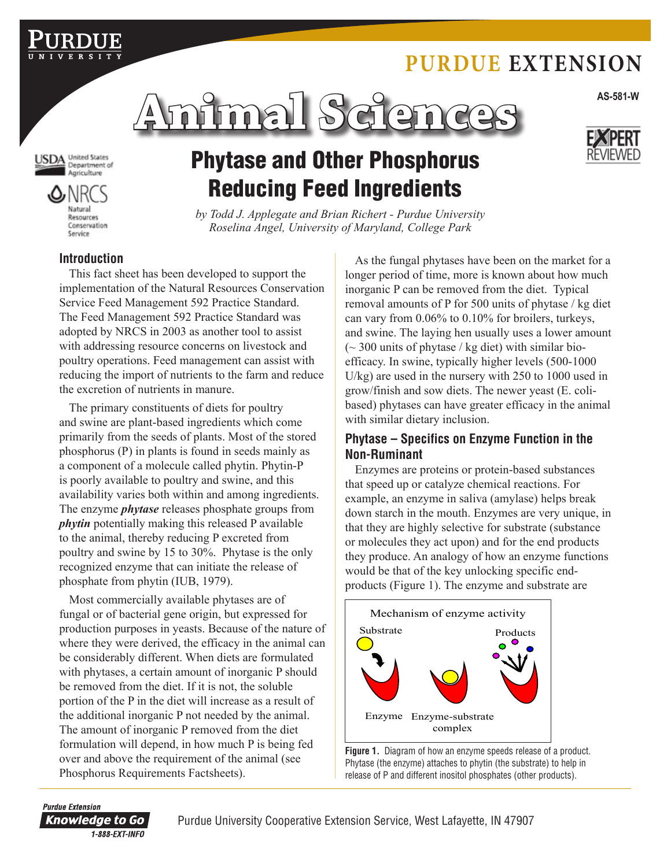# **Purdue Extension**

**AS-581-W Animal Sciences**



Natural Resources Conservation Service

# Phytase and Other Phosphorus Reducing Feed Ingredients

*by Todd J. Applegate and Brian Richert - Purdue University Roselina Angel, University of Maryland, College Park*

### **Introduction**

This fact sheet has been developed to support the implementation of the Natural Resources Conservation Service Feed Management 592 Practice Standard. The Feed Management 592 Practice Standard was adopted by NRCS in 2003 as another tool to assist with addressing resource concerns on livestock and poultry operations. Feed management can assist with reducing the import of nutrients to the farm and reduce the excretion of nutrients in manure.

The primary constituents of diets for poultry and swine are plant-based ingredients which come primarily from the seeds of plants. Most of the stored phosphorus (P) in plants is found in seeds mainly as a component of a molecule called phytin. Phytin-P is poorly available to poultry and swine, and this availability varies both within and among ingredients. The enzyme *phytase* releases phosphate groups from *phytin* potentially making this released P available to the animal, thereby reducing P excreted from poultry and swine by 15 to 30%. Phytase is the only recognized enzyme that can initiate the release of phosphate from phytin (IUB, 1979).

Most commercially available phytases are of fungal or of bacterial gene origin, but expressed for production purposes in yeasts. Because of the nature of where they were derived, the efficacy in the animal can be considerably different. When diets are formulated with phytases, a certain amount of inorganic P should be removed from the diet. If it is not, the soluble portion of the P in the diet will increase as a result of the additional inorganic P not needed by the animal. The amount of inorganic P removed from the diet formulation will depend, in how much P is being fed over and above the requirement of the animal (see Phosphorus Requirements Factsheets).

As the fungal phytases have been on the market for a longer period of time, more is known about how much inorganic P can be removed from the diet. Typical removal amounts of P for 500 units of phytase / kg diet can vary from 0.06% to 0.10% for broilers, turkeys, and swine. The laying hen usually uses a lower amount  $\sim$  300 units of phytase / kg diet) with similar bioefficacy. In swine, typically higher levels (500-1000 U/kg) are used in the nursery with 250 to 1000 used in grow/finish and sow diets. The newer yeast (E. colibased) phytases can have greater efficacy in the animal with similar dietary inclusion.

### **Phytase – Specifics on Enzyme Function in the Non-Ruminant**

Enzymes are proteins or protein-based substances that speed up or catalyze chemical reactions. For example, an enzyme in saliva (amylase) helps break down starch in the mouth. Enzymes are very unique, in that they are highly selective for substrate (substance or molecules they act upon) and for the end products they produce. An analogy of how an enzyme functions would be that of the key unlocking specific endproducts (Figure 1). The enzyme and substrate are



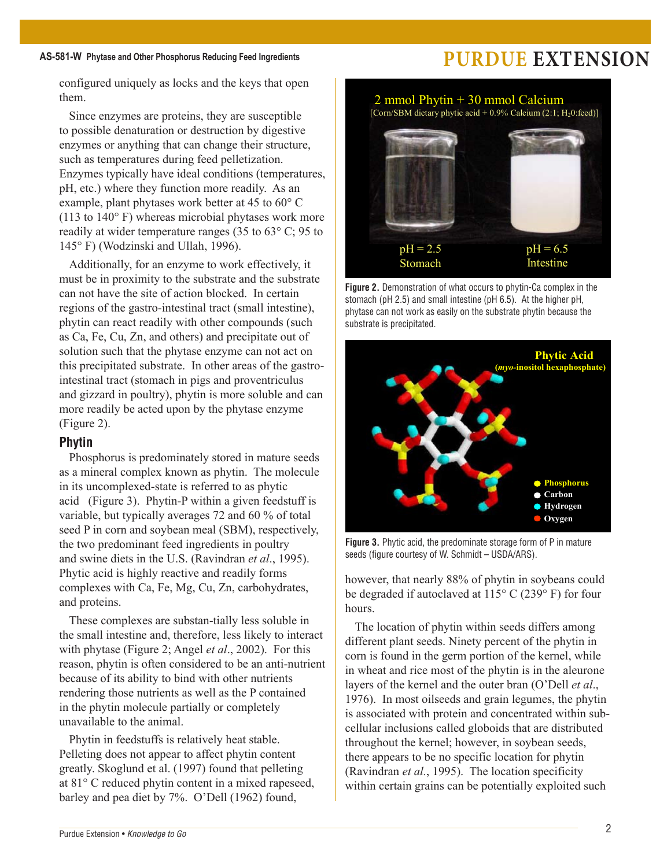configured uniquely as locks and the keys that open them.

Since enzymes are proteins, they are susceptible to possible denaturation or destruction by digestive enzymes or anything that can change their structure, such as temperatures during feed pelletization. Enzymes typically have ideal conditions (temperatures, pH, etc.) where they function more readily. As an example, plant phytases work better at 45 to 60° C (113 to 140° F) whereas microbial phytases work more readily at wider temperature ranges (35 to 63° C; 95 to 145° F) (Wodzinski and Ullah, 1996).

Additionally, for an enzyme to work effectively, it must be in proximity to the substrate and the substrate can not have the site of action blocked. In certain regions of the gastro-intestinal tract (small intestine), phytin can react readily with other compounds (such as Ca, Fe, Cu, Zn, and others) and precipitate out of solution such that the phytase enzyme can not act on this precipitated substrate. In other areas of the gastrointestinal tract (stomach in pigs and proventriculus and gizzard in poultry), phytin is more soluble and can more readily be acted upon by the phytase enzyme (Figure 2).

### **Phytin**

Phosphorus is predominately stored in mature seeds as a mineral complex known as phytin. The molecule in its uncomplexed-state is referred to as phytic acid (Figure 3). Phytin-P within a given feedstuff is variable, but typically averages 72 and 60 % of total seed P in corn and soybean meal (SBM), respectively, the two predominant feed ingredients in poultry and swine diets in the U.S. (Ravindran *et al*., 1995). Phytic acid is highly reactive and readily forms complexes with Ca, Fe, Mg, Cu, Zn, carbohydrates, and proteins.

These complexes are substan-tially less soluble in the small intestine and, therefore, less likely to interact with phytase (Figure 2; Angel *et al*., 2002). For this reason, phytin is often considered to be an anti-nutrient because of its ability to bind with other nutrients rendering those nutrients as well as the P contained in the phytin molecule partially or completely unavailable to the animal.

Phytin in feedstuffs is relatively heat stable. Pelleting does not appear to affect phytin content greatly. Skoglund et al. (1997) found that pelleting at 81° C reduced phytin content in a mixed rapeseed, barley and pea diet by 7%. O'Dell (1962) found,



**Figure 2.** Demonstration of what occurs to phytin-Ca complex in the stomach (pH 2.5) and small intestine (pH 6.5). At the higher pH, phytase can not work as easily on the substrate phytin because the substrate is precipitated.



**Figure 3.** Phytic acid, the predominate storage form of P in mature seeds (figure courtesy of W. Schmidt – USDA/ARS).

however, that nearly 88% of phytin in soybeans could be degraded if autoclaved at 115° C (239° F) for four hours.

The location of phytin within seeds differs among different plant seeds. Ninety percent of the phytin in corn is found in the germ portion of the kernel, while in wheat and rice most of the phytin is in the aleurone layers of the kernel and the outer bran (O'Dell *et al*., 1976). In most oilseeds and grain legumes, the phytin is associated with protein and concentrated within subcellular inclusions called globoids that are distributed throughout the kernel; however, in soybean seeds, there appears to be no specific location for phytin (Ravindran *et al.*, 1995). The location specificity within certain grains can be potentially exploited such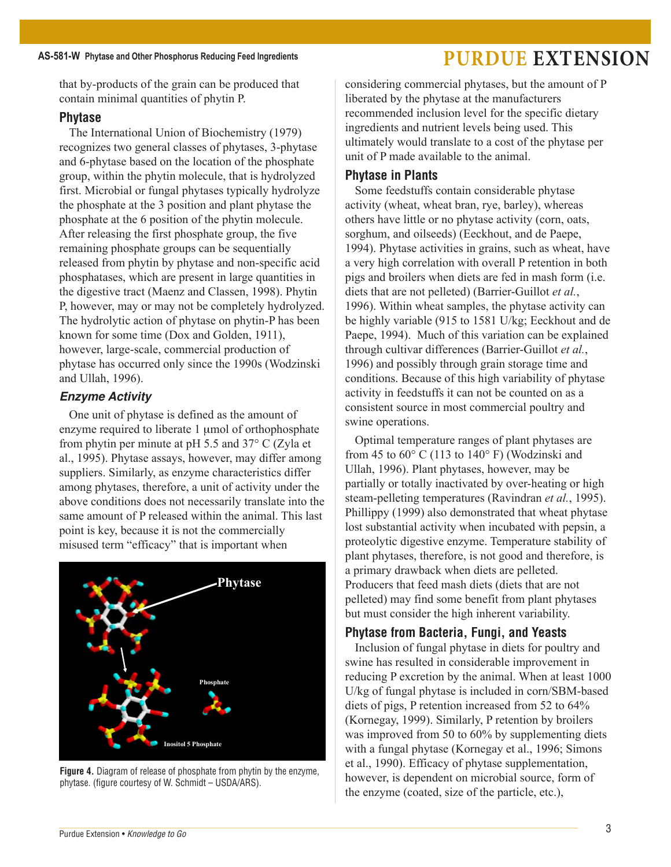that by-products of the grain can be produced that contain minimal quantities of phytin P.

### **Phytase**

The International Union of Biochemistry (1979) recognizes two general classes of phytases, 3-phytase and 6-phytase based on the location of the phosphate group, within the phytin molecule, that is hydrolyzed first. Microbial or fungal phytases typically hydrolyze the phosphate at the 3 position and plant phytase the phosphate at the 6 position of the phytin molecule. After releasing the first phosphate group, the five remaining phosphate groups can be sequentially released from phytin by phytase and non-specific acid phosphatases, which are present in large quantities in the digestive tract (Maenz and Classen, 1998). Phytin P, however, may or may not be completely hydrolyzed. The hydrolytic action of phytase on phytin-P has been known for some time (Dox and Golden, 1911), however, large-scale, commercial production of phytase has occurred only since the 1990s (Wodzinski and Ullah, 1996).

### *Enzyme Activity*

One unit of phytase is defined as the amount of enzyme required to liberate 1 µmol of orthophosphate from phytin per minute at pH 5.5 and 37° C (Zyla et al., 1995). Phytase assays, however, may differ among suppliers. Similarly, as enzyme characteristics differ among phytases, therefore, a unit of activity under the above conditions does not necessarily translate into the same amount of P released within the animal. This last point is key, because it is not the commercially misused term "efficacy" that is important when



**Figure 4.** Diagram of release of phosphate from phytin by the enzyme, phytase. (figure courtesy of W. Schmidt – USDA/ARS).

considering commercial phytases, but the amount of P liberated by the phytase at the manufacturers recommended inclusion level for the specific dietary ingredients and nutrient levels being used. This ultimately would translate to a cost of the phytase per unit of P made available to the animal.

### **Phytase in Plants**

Some feedstuffs contain considerable phytase activity (wheat, wheat bran, rye, barley), whereas others have little or no phytase activity (corn, oats, sorghum, and oilseeds) (Eeckhout, and de Paepe, 1994). Phytase activities in grains, such as wheat, have a very high correlation with overall P retention in both pigs and broilers when diets are fed in mash form (i.e. diets that are not pelleted) (Barrier-Guillot *et al.*, 1996). Within wheat samples, the phytase activity can be highly variable (915 to 1581 U/kg; Eeckhout and de Paepe, 1994). Much of this variation can be explained through cultivar differences (Barrier-Guillot *et al.*, 1996) and possibly through grain storage time and conditions. Because of this high variability of phytase activity in feedstuffs it can not be counted on as a consistent source in most commercial poultry and swine operations.

Optimal temperature ranges of plant phytases are from 45 to  $60^{\circ}$  C (113 to 140° F) (Wodzinski and Ullah, 1996). Plant phytases, however, may be partially or totally inactivated by over-heating or high steam-pelleting temperatures (Ravindran *et al.*, 1995). Phillippy (1999) also demonstrated that wheat phytase lost substantial activity when incubated with pepsin, a proteolytic digestive enzyme. Temperature stability of plant phytases, therefore, is not good and therefore, is a primary drawback when diets are pelleted. Producers that feed mash diets (diets that are not pelleted) may find some benefit from plant phytases but must consider the high inherent variability.

### **Phytase from Bacteria, Fungi, and Yeasts**

Inclusion of fungal phytase in diets for poultry and swine has resulted in considerable improvement in reducing P excretion by the animal. When at least 1000 U/kg of fungal phytase is included in corn/SBM-based diets of pigs, P retention increased from 52 to 64% (Kornegay, 1999). Similarly, P retention by broilers was improved from 50 to 60% by supplementing diets with a fungal phytase (Kornegay et al., 1996; Simons et al., 1990). Efficacy of phytase supplementation, however, is dependent on microbial source, form of the enzyme (coated, size of the particle, etc.),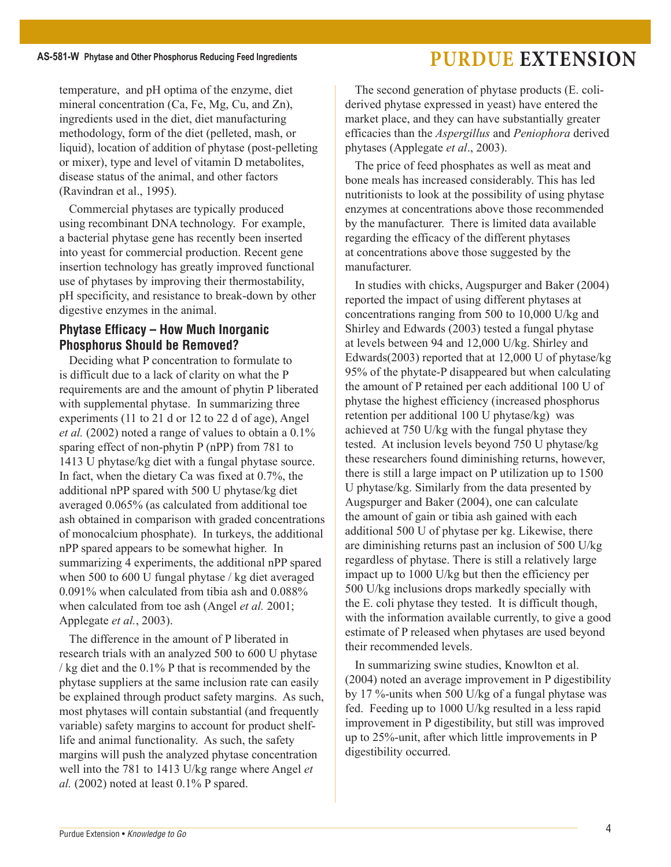temperature, and pH optima of the enzyme, diet mineral concentration (Ca, Fe, Mg, Cu, and Zn). ingredients used in the diet, diet manufacturing methodology, form of the diet (pelleted, mash, or liquid), location of addition of phytase (post-pelleting or mixer), type and level of vitamin D metabolites, disease status of the animal, and other factors (Ravindran et al., 1995).

Commercial phytases are typically produced using recombinant DNA technology. For example, a bacterial phytase gene has recently been inserted into yeast for commercial production. Recent gene insertion technology has greatly improved functional use of phytases by improving their thermostability, pH specificity, and resistance to break-down by other digestive enzymes in the animal.

## **Phytase Efficacy – How Much Inorganic Phosphorus Should be Removed?**

Deciding what P concentration to formulate to is difficult due to a lack of clarity on what the P requirements are and the amount of phytin P liberated with supplemental phytase. In summarizing three experiments (11 to 21 d or 12 to 22 d of age), Angel *et al.* (2002) noted a range of values to obtain a 0.1% sparing effect of non-phytin P (nPP) from 781 to 1413 U phytase/kg diet with a fungal phytase source. In fact, when the dietary Ca was fixed at 0.7%, the additional nPP spared with 500 U phytase/kg diet averaged 0.065% (as calculated from additional toe ash obtained in comparison with graded concentrations of monocalcium phosphate). In turkeys, the additional nPP spared appears to be somewhat higher. In summarizing 4 experiments, the additional nPP spared when 500 to 600 U fungal phytase / kg diet averaged 0.091% when calculated from tibia ash and 0.088% when calculated from toe ash (Angel *et al.* 2001; Applegate *et al.*, 2003).

The difference in the amount of P liberated in research trials with an analyzed 500 to 600 U phytase / kg diet and the 0.1% P that is recommended by the phytase suppliers at the same inclusion rate can easily be explained through product safety margins. As such, most phytases will contain substantial (and frequently variable) safety margins to account for product shelflife and animal functionality. As such, the safety margins will push the analyzed phytase concentration well into the 781 to 1413 U/kg range where Angel *et al.* (2002) noted at least 0.1% P spared.

The second generation of phytase products (E. coliderived phytase expressed in yeast) have entered the market place, and they can have substantially greater efficacies than the *Aspergillus* and *Peniophora* derived phytases (Applegate *et al*., 2003).

The price of feed phosphates as well as meat and bone meals has increased considerably. This has led nutritionists to look at the possibility of using phytase enzymes at concentrations above those recommended by the manufacturer. There is limited data available regarding the efficacy of the different phytases at concentrations above those suggested by the manufacturer.

In studies with chicks, Augspurger and Baker (2004) reported the impact of using different phytases at concentrations ranging from 500 to 10,000 U/kg and Shirley and Edwards (2003) tested a fungal phytase at levels between 94 and 12,000 U/kg. Shirley and Edwards(2003) reported that at 12,000 U of phytase/kg 95% of the phytate-P disappeared but when calculating the amount of P retained per each additional 100 U of phytase the highest efficiency (increased phosphorus retention per additional 100 U phytase/kg) was achieved at 750 U/kg with the fungal phytase they tested. At inclusion levels beyond 750 U phytase/kg these researchers found diminishing returns, however, there is still a large impact on P utilization up to 1500 U phytase/kg. Similarly from the data presented by Augspurger and Baker (2004), one can calculate the amount of gain or tibia ash gained with each additional 500 U of phytase per kg. Likewise, there are diminishing returns past an inclusion of 500 U/kg regardless of phytase. There is still a relatively large impact up to 1000 U/kg but then the efficiency per 500 U/kg inclusions drops markedly specially with the E. coli phytase they tested. It is difficult though, with the information available currently, to give a good estimate of P released when phytases are used beyond their recommended levels.

In summarizing swine studies, Knowlton et al. (2004) noted an average improvement in P digestibility by 17 %-units when 500 U/kg of a fungal phytase was fed. Feeding up to 1000 U/kg resulted in a less rapid improvement in P digestibility, but still was improved up to 25%-unit, after which little improvements in P digestibility occurred.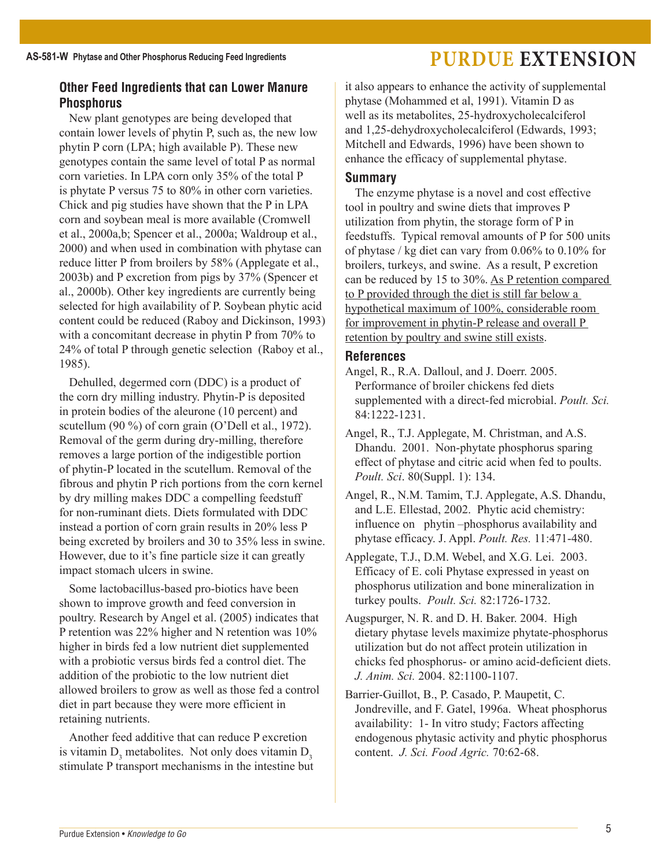# **Other Feed Ingredients that can Lower Manure**

**Phosphorus** New plant genotypes are being developed that contain lower levels of phytin P, such as, the new low phytin P corn (LPA; high available P). These new genotypes contain the same level of total P as normal corn varieties. In LPA corn only 35% of the total P is phytate P versus 75 to 80% in other corn varieties. Chick and pig studies have shown that the P in LPA corn and soybean meal is more available (Cromwell et al., 2000a,b; Spencer et al., 2000a; Waldroup et al., 2000) and when used in combination with phytase can reduce litter P from broilers by 58% (Applegate et al., 2003b) and P excretion from pigs by 37% (Spencer et al., 2000b). Other key ingredients are currently being

selected for high availability of P. Soybean phytic acid content could be reduced (Raboy and Dickinson, 1993) with a concomitant decrease in phytin P from 70% to 24% of total P through genetic selection (Raboy et al., 1985).

Dehulled, degermed corn (DDC) is a product of the corn dry milling industry. Phytin-P is deposited in protein bodies of the aleurone (10 percent) and scutellum (90 %) of corn grain (O'Dell et al., 1972). Removal of the germ during dry-milling, therefore removes a large portion of the indigestible portion of phytin-P located in the scutellum. Removal of the fibrous and phytin P rich portions from the corn kernel by dry milling makes DDC a compelling feedstuff for non-ruminant diets. Diets formulated with DDC instead a portion of corn grain results in 20% less P being excreted by broilers and 30 to 35% less in swine. However, due to it's fine particle size it can greatly impact stomach ulcers in swine.

Some lactobacillus-based pro-biotics have been shown to improve growth and feed conversion in poultry. Research by Angel et al. (2005) indicates that P retention was 22% higher and N retention was 10% higher in birds fed a low nutrient diet supplemented with a probiotic versus birds fed a control diet. The addition of the probiotic to the low nutrient diet allowed broilers to grow as well as those fed a control diet in part because they were more efficient in retaining nutrients.

Another feed additive that can reduce P excretion is vitamin  $D_3$  metabolites. Not only does vitamin  $D_3$ stimulate P transport mechanisms in the intestine but it also appears to enhance the activity of supplemental phytase (Mohammed et al, 1991). Vitamin D as well as its metabolites, 25-hydroxycholecalciferol and 1,25-dehydroxycholecalciferol (Edwards, 1993; Mitchell and Edwards, 1996) have been shown to enhance the efficacy of supplemental phytase.

### **Summary**

The enzyme phytase is a novel and cost effective tool in poultry and swine diets that improves P utilization from phytin, the storage form of P in feedstuffs. Typical removal amounts of P for 500 units of phytase / kg diet can vary from 0.06% to 0.10% for broilers, turkeys, and swine. As a result, P excretion can be reduced by 15 to 30%. As P retention compared to P provided through the diet is still far below a hypothetical maximum of 100%, considerable room for improvement in phytin-P release and overall P retention by poultry and swine still exists.

### **References**

- Angel, R., R.A. Dalloul, and J. Doerr. 2005. Performance of broiler chickens fed diets supplemented with a direct-fed microbial. *Poult. Sci.* 84:1222-1231.
- Angel, R., T.J. Applegate, M. Christman, and A.S. Dhandu. 2001. Non-phytate phosphorus sparing effect of phytase and citric acid when fed to poults. *Poult. Sci*. 80(Suppl. 1): 134.
- Angel, R., N.M. Tamim, T.J. Applegate, A.S. Dhandu, and L.E. Ellestad, 2002. Phytic acid chemistry: influence on phytin –phosphorus availability and phytase efficacy. J. Appl. *Poult. Res.* 11:471-480.
- Applegate, T.J., D.M. Webel, and X.G. Lei. 2003. Efficacy of E. coli Phytase expressed in yeast on phosphorus utilization and bone mineralization in turkey poults. *Poult. Sci.* 82:1726-1732.
- Augspurger, N. R. and D. H. Baker. 2004. High dietary phytase levels maximize phytate-phosphorus utilization but do not affect protein utilization in chicks fed phosphorus- or amino acid-deficient diets. *J. Anim. Sci.* 2004. 82:1100-1107.
- Barrier-Guillot, B., P. Casado, P. Maupetit, C. Jondreville, and F. Gatel, 1996a. Wheat phosphorus availability: 1- In vitro study; Factors affecting endogenous phytasic activity and phytic phosphorus content. *J. Sci. Food Agric.* 70:62-68.

## AS-581-W Phytase and Other Phosphorus Reducing Feed Ingredients **PURDUE EXTENSION**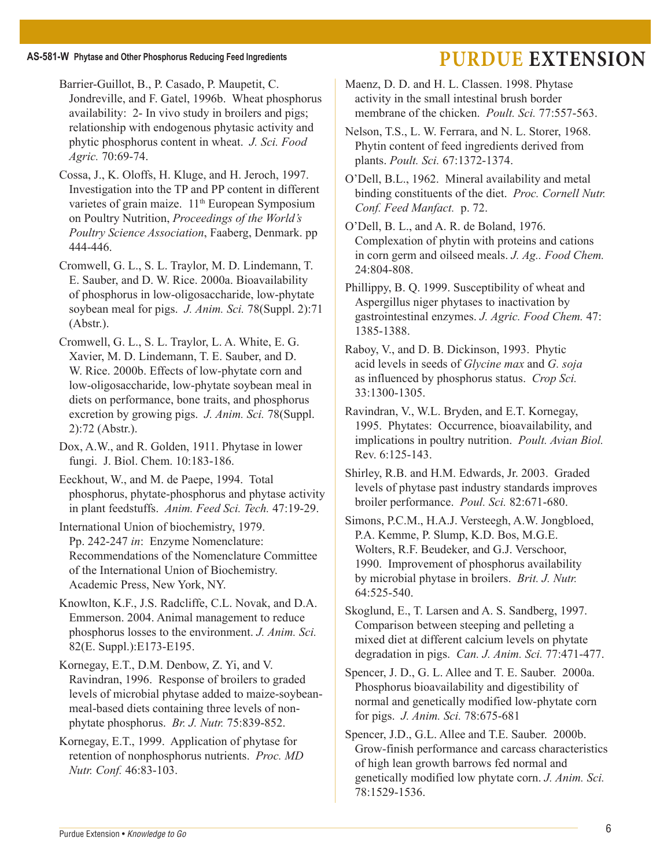Barrier-Guillot, B., P. Casado, P. Maupetit, C. Jondreville, and F. Gatel, 1996b. Wheat phosphorus availability: 2- In vivo study in broilers and pigs; relationship with endogenous phytasic activity and phytic phosphorus content in wheat. *J. Sci. Food Agric.* 70:69-74.

Cossa, J., K. Oloffs, H. Kluge, and H. Jeroch, 1997. Investigation into the TP and PP content in different varietes of grain maize. 11<sup>th</sup> European Symposium on Poultry Nutrition, *Proceedings of the World's Poultry Science Association*, Faaberg, Denmark. pp 444-446.

Cromwell, G. L., S. L. Traylor, M. D. Lindemann, T. E. Sauber, and D. W. Rice. 2000a. Bioavailability of phosphorus in low-oligosaccharide, low-phytate soybean meal for pigs. *J. Anim. Sci.* 78(Suppl. 2):71 (Abstr.).

Cromwell, G. L., S. L. Traylor, L. A. White, E. G. Xavier, M. D. Lindemann, T. E. Sauber, and D. W. Rice. 2000b. Effects of low-phytate corn and low-oligosaccharide, low-phytate soybean meal in diets on performance, bone traits, and phosphorus excretion by growing pigs. *J. Anim. Sci.* 78(Suppl. 2):72 (Abstr.).

Dox, A.W., and R. Golden, 1911. Phytase in lower fungi. J. Biol. Chem. 10:183-186.

Eeckhout, W., and M. de Paepe, 1994. Total phosphorus, phytate-phosphorus and phytase activity in plant feedstuffs. *Anim. Feed Sci. Tech.* 47:19-29.

International Union of biochemistry, 1979. Pp. 242-247 *in*: Enzyme Nomenclature: Recommendations of the Nomenclature Committee of the International Union of Biochemistry. Academic Press, New York, NY.

Knowlton, K.F., J.S. Radcliffe, C.L. Novak, and D.A. Emmerson. 2004. Animal management to reduce phosphorus losses to the environment. *J. Anim. Sci.* 82(E. Suppl.):E173-E195.

Kornegay, E.T., D.M. Denbow, Z. Yi, and V. Ravindran, 1996. Response of broilers to graded levels of microbial phytase added to maize-soybeanmeal-based diets containing three levels of nonphytate phosphorus. *Br. J. Nutr.* 75:839-852.

Kornegay, E.T., 1999. Application of phytase for retention of nonphosphorus nutrients. *Proc. MD Nutr. Conf.* 46:83-103.

Maenz, D. D. and H. L. Classen. 1998. Phytase activity in the small intestinal brush border membrane of the chicken. *Poult. Sci.* 77:557-563.

Nelson, T.S., L. W. Ferrara, and N. L. Storer, 1968. Phytin content of feed ingredients derived from plants. *Poult. Sci.* 67:1372-1374.

O'Dell, B.L., 1962. Mineral availability and metal binding constituents of the diet. *Proc. Cornell Nutr. Conf. Feed Manfact.* p. 72.

O'Dell, B. L., and A. R. de Boland, 1976. Complexation of phytin with proteins and cations in corn germ and oilseed meals. *J. Ag.. Food Chem.* 24:804-808.

Phillippy, B. Q. 1999. Susceptibility of wheat and Aspergillus niger phytases to inactivation by gastrointestinal enzymes. *J. Agric. Food Chem.* 47: 1385-1388.

Raboy, V., and D. B. Dickinson, 1993. Phytic acid levels in seeds of *Glycine max* and *G. soja*  as influenced by phosphorus status. *Crop Sci.* 33:1300-1305.

Ravindran, V., W.L. Bryden, and E.T. Kornegay, 1995. Phytates: Occurrence, bioavailability, and implications in poultry nutrition. *Poult. Avian Biol.* Rev. 6:125-143.

Shirley, R.B. and H.M. Edwards, Jr. 2003. Graded levels of phytase past industry standards improves broiler performance. *Poul. Sci.* 82:671-680.

Simons, P.C.M., H.A.J. Versteegh, A.W. Jongbloed, P.A. Kemme, P. Slump, K.D. Bos, M.G.E. Wolters, R.F. Beudeker, and G.J. Verschoor, 1990. Improvement of phosphorus availability by microbial phytase in broilers. *Brit. J. Nutr.* 64:525-540.

Skoglund, E., T. Larsen and A. S. Sandberg, 1997. Comparison between steeping and pelleting a mixed diet at different calcium levels on phytate degradation in pigs. *Can. J. Anim. Sci.* 77:471-477.

Spencer, J. D., G. L. Allee and T. E. Sauber. 2000a. Phosphorus bioavailability and digestibility of normal and genetically modified low-phytate corn for pigs. *J. Anim. Sci.* 78:675-681

Spencer, J.D., G.L. Allee and T.E. Sauber. 2000b. Grow-finish performance and carcass characteristics of high lean growth barrows fed normal and genetically modified low phytate corn. *J. Anim. Sci.* 78:1529-1536.